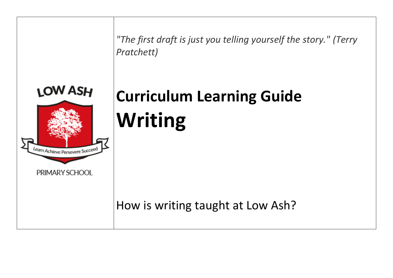

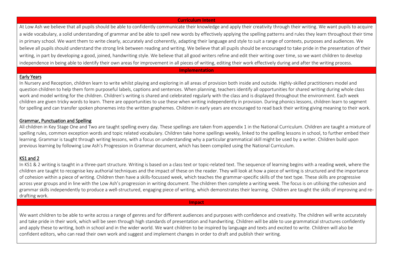### **Curriculum Intent**

At Low Ash we believe that all pupils should be able to confidently communicate their knowledge and apply their creativity through their writing. We want pupils to acquire a wide vocabulary, a solid understanding of grammar and be able to spell new words by effectively applying the spelling patterns and rules they learn throughout their time in primary school. We want them to write clearly, accurately and coherently, adapting their language and style to suit a range of contexts, purposes and audiences. We believe all pupils should understand the strong link between reading and writing. We believe that all pupils should be encouraged to take pride in the presentation of their writing, in part by developing a good, joined, handwriting style. We believe that all good writers refine and edit their writing over time, so we want children to develop independence in being able to identify their own areas for improvement in all pieces of writing, editing their work effectively during and after the writing process.

#### **Implementation**

## Early Years

In Nursery and Reception, children learn to write whilst playing and exploring in all areas of provision both inside and outside. Highly-skilled practitioners model and question children to help them form purposeful labels, captions and sentences. When planning, teachers identify all opportunities for shared writing during whole class work and model writing for the children. Children's writing is shared and celebrated regularly with the class and is displayed throughout the environment. Each week children are given tricky words to learn. There are opportunities to use these when writing independently in provision. During phonics lessons, children learn to segment for spelling and can transfer spoken phonemes into the written graphemes. Children in early years are encouraged to read back their writing giving meaning to their work.

## Grammar, Punctuation and Spelling

All children in Key Stage One and Two are taught spelling every day. These spellings are taken from appendix 1 in the National Curriculum. Children are taught a mixture of spelling rules, common exception words and topic related vocabulary. Children take home spellings weekly, linked to the spelling lessons in school, to further embed their learning. Grammar is taught through writing lessons, with a focus on understanding why a particular grammatical skill might be used by a writer. Children build upon previous learning by following Low Ash's Progression in Grammar document, which has been compiled using the National Curriculum.

# KS1 and 2

In KS1 & 2 writing is taught in a three-part structure. Writing is based on a class text or topic-related text. The sequence of learning begins with a reading week, where the children are taught to recognise key authorial techniques and the impact of these on the reader. They will look at how a piece of writing is structured and the importance of cohesion within a piece of writing. Children then have a skills-focussed week, which teaches the grammar-specific skills of the text type. These skills are progressive across year groups and in line with the Low Ash's progression in writing document. The children then complete a writing week. The focus is on utilising the cohesion and grammar skills independently to produce a well-structured, engaging piece of writing, which demonstrates their learning. Children are taught the skills of improving and redrafting work.

### **Impact**

We want children to be able to write across a range of genres and for different audiences and purposes with confidence and creativity. The children will write accurately and take pride in their work, which will be seen through high standards of presentation and handwriting. Children will be able to use grammatical structures confidently and apply these to writing, both in school and in the wider world. We want children to be inspired by language and texts and excited to write. Children will also be confident editors, who can read their own work and suggest and implement changes in order to draft and publish their writing.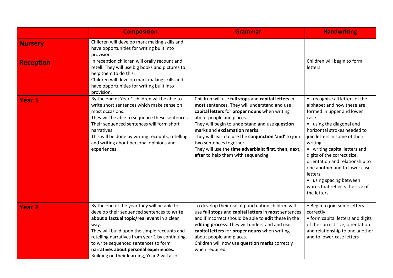|                  | <b>Composition</b>                                                                                                                                                                                                                                                                                                                                                                   | <b>Grammar</b>                                                                                                                                                                                                                                                                                                                                                                                                                                        | <b>Handwriting</b>                                                                                                                                                                                                                                                                                                                                                                                                                     |
|------------------|--------------------------------------------------------------------------------------------------------------------------------------------------------------------------------------------------------------------------------------------------------------------------------------------------------------------------------------------------------------------------------------|-------------------------------------------------------------------------------------------------------------------------------------------------------------------------------------------------------------------------------------------------------------------------------------------------------------------------------------------------------------------------------------------------------------------------------------------------------|----------------------------------------------------------------------------------------------------------------------------------------------------------------------------------------------------------------------------------------------------------------------------------------------------------------------------------------------------------------------------------------------------------------------------------------|
| <b>Nursery</b>   | Children will develop mark making skills and<br>have opportunities for writing built into<br>provision.                                                                                                                                                                                                                                                                              |                                                                                                                                                                                                                                                                                                                                                                                                                                                       |                                                                                                                                                                                                                                                                                                                                                                                                                                        |
| <b>Reception</b> | In reception children will orally recount and<br>retell. They will use big books and pictures to<br>help them to do this.<br>Children will develop mark making skills and<br>have opportunities for writing built into<br>provision.                                                                                                                                                 |                                                                                                                                                                                                                                                                                                                                                                                                                                                       | Children will begin to form<br>letters.                                                                                                                                                                                                                                                                                                                                                                                                |
| <b>Year 1</b>    | By the end of Year 1 children will be able to<br>write short sentences which make sense on<br>most occasions.<br>They will be able to sequence these sentences.<br>Their sequenced sentences will form short<br>narratives.<br>This will be done by writing recounts, retelling<br>and writing about personal opinions and<br>experiences.                                           | Children will use full stops and capital letters in<br>most sentences. They will understand and use<br>capital letters for proper nouns when writing<br>about people and places.<br>They will begin to understand and use question<br>marks and exclamation marks.<br>They will learn to use the conjunction 'and' to join<br>two sentences together.<br>They will use the time adverbials: first, then, next,<br>after to help them with sequencing. | • recognise all letters of the<br>alphabet and how these are<br>formed in upper and lower<br>case.<br>• using the diagonal and<br>horizontal strokes needed to<br>join letters in some of their<br>writing<br>• writing capital letters and<br>digits of the correct size,<br>orientation and relationship to<br>one another and to lower case<br>letters<br>• using spacing between<br>words that reflects the size of<br>the letters |
| <b>Year 2</b>    | By the end of the year they will be able to<br>develop their sequenced sentences to write<br>about a factual topic/real event in a clear<br>way.<br>They will build upon the simple recounts and<br>retelling narratives from year 1 by continuing<br>to write sequenced sentences to form<br>narratives about personal experiences.<br>Building on their learning, Year 2 will also | To develop their use of punctuation children will<br>use full stops and capital letters in most sentences<br>and if incorrect should be able to <b>edit</b> these in the<br>editing process. They will understand and use<br>capital letters for proper nouns when writing<br>about people and places.<br>Children will now use question marks correctly<br>when required.                                                                            | · Begin to join some letters<br>correctly<br>• form capital letters and digits<br>of the correct size, orientation<br>and relationship to one another<br>and to lower-case letters                                                                                                                                                                                                                                                     |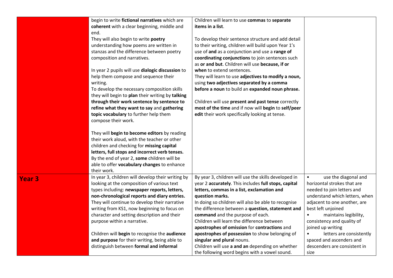|                   | begin to write fictional narratives which are     | Children will learn to use commas to separate        |                                    |
|-------------------|---------------------------------------------------|------------------------------------------------------|------------------------------------|
|                   | coherent with a clear beginning, middle and       | items in a list.                                     |                                    |
|                   | end.                                              |                                                      |                                    |
|                   | They will also begin to write poetry              | To develop their sentence structure and add detail   |                                    |
|                   | understanding how poems are written in            | to their writing, children will build upon Year 1's  |                                    |
|                   | stanzas and the difference between poetry         | use of and as a conjunction and use a range of       |                                    |
|                   | composition and narratives.                       | coordinating conjunctions to join sentences such     |                                    |
|                   |                                                   | as or and but. Children will use because, if or      |                                    |
|                   | In year 2 pupils will use dialogic discussion to  | when to extend sentences.                            |                                    |
|                   | help them compose and sequence their              | They will learn to use adjectives to modify a noun,  |                                    |
|                   | writing.                                          | using two adjectives separated by a comma            |                                    |
|                   | To develop the necessary composition skills       | before a noun to build an expanded noun phrase.      |                                    |
|                   | they will begin to plan their writing by talking  |                                                      |                                    |
|                   | through their work sentence by sentence to        | Children will use present and past tense correctly   |                                    |
|                   | refine what they want to say and gathering        | most of the time and if now will begin to self/peer  |                                    |
|                   | topic vocabulary to further help them             | edit their work specifically looking at tense.       |                                    |
|                   | compose their work.                               |                                                      |                                    |
|                   | They will begin to become editors by reading      |                                                      |                                    |
|                   | their work aloud, with the teacher or other       |                                                      |                                    |
|                   | children and checking for missing capital         |                                                      |                                    |
|                   | letters, full stops and incorrect verb tenses.    |                                                      |                                    |
|                   | By the end of year 2, some children will be       |                                                      |                                    |
|                   | able to offer vocabulary changes to enhance       |                                                      |                                    |
|                   | their work.                                       |                                                      |                                    |
| Year <sub>3</sub> | In year 3, children will develop their writing by | By year 3, children will use the skills developed in | use the diagonal and<br>$\bullet$  |
|                   | looking at the composition of various text        | year 2 accurately. This includes full stops, capital | horizontal strokes that are        |
|                   | types including: newspaper reports, letters,      | letters, commas in a list, exclamation and           | needed to join letters and         |
|                   | non-chronological reports and diary entries.      | question marks.                                      | understand which letters, when     |
|                   | They will continue to develop their narrative     | In doing so children will also be able to recognise  | adjacent to one another, are       |
|                   | writing from KS1, now beginning to focus on       | the difference between a question, statement and     | best left unjoined                 |
|                   | character and setting description and their       | command and the purpose of each.                     | maintains legibility,<br>$\bullet$ |
|                   | purpose within a narrative.                       | Children will learn the difference between           | consistency and quality of         |
|                   |                                                   | apostrophes of omission for contractions and         | joined up writing                  |
|                   | Children will begin to recognise the audience     | apostrophes of possession to show belonging of       | letters are consistently           |
|                   | and purpose for their writing, being able to      | singular and plural nouns.                           | spaced and ascenders and           |
|                   | distinguish between formal and informal           | Children will use a and an depending on whether      | descenders are consistent in       |
|                   |                                                   | the following word begins with a vowel sound.        | size                               |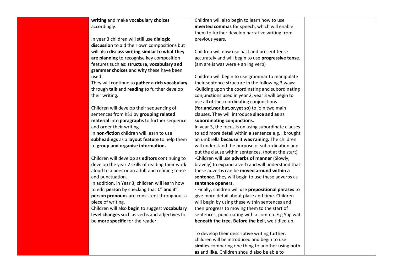**writing** and make **vocabulary choices**  accordingly.

In year 3 children will still use **dialogic discussion** to aid their own compositions but will also **discuss writing similar to what they are planning** to recognise key composition features such as: **structure, vocabulary and grammar choices** and **why** these have been used.

They will continue to **gather a rich vocabulary** through **talk** and **reading** to further develop their writing.

Children will develop their sequencing of sentences from KS1 by **grouping related material** into **paragraphs** to further sequence and order their writing. In **non-fiction** children will learn to use **subheadings** as a **layout feature** to help them

to **group and organise information.**

Children will develop as **editors** continuing to develop the year 2 skills of reading their work aloud to a peer or an adult and refining tense and punctuation.

In addition, in Year 3, children will learn how to edit **person** by checking that **1 st and 3rd person pronouns** are consistent throughout a piece of writing.

Children will also **begin** to suggest **vocabulary level changes** such as verbs and adjectives to be **more specific** for the reader.

Children will also begin to learn how to use **inverted commas** for speech, which will enable them to further develop narrative writing from previous years.

Children will now use past and present tense accurately and will begin to use **progressive tense.** (am are is was were + an ing verb)

Children will begin to use grammar to manipulate their sentence structure in the following 3 ways: -Building upon the coordinating and subordinating conjunctions used in year 2, year 3 will begin to use all of the coordinating conjunctions (**for,and,nor,but,or,yet so)** to join two main clauses. They will introduce **since and as** as **subordinating conjunctions.**

In year 3, the focus is on using subordinate clauses to add more detail within a sentence e.g. I brought an umbrella **because it was raining.** The children will understand the purpose of subordination and put the clause within sentences. (not at the start) -Children will use **adverbs of manner** (Slowly, bravely) to expand a verb and will understand that these adverbs can be **moved around within a sentence.** They will begin to use these adverbs as **sentence openers.**

**-** Finally, children will use **prepositional phrases** to give more detail about place and time. Children will begin by using these within sentences and then progress to moving them to the start of sentences, punctuating with a comma. E.g Stig wat **beneath the tree. Before the bell,** we tidied up.

To develop their descriptive writing further, children will be introduced and begin to use **similes** comparing one thing to another using both **as** and **like.** Children should also be able to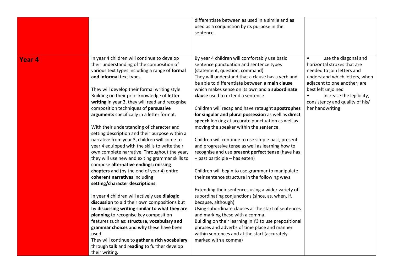|                   |                                                                                                                                                                                                                                                                                                                                                                                                                                                                                                                                                                                                                                                                                                                                                                                                                                                                                                                                                                                                                                                                                                                                                                                                                                                                                                 | differentiate between as used in a simile and as<br>used as a conjunction by its purpose in the<br>sentence.                                                                                                                                                                                                                                                                                                                                                                                                                                                                                                                                                                                                                                                                                                                                                                                                                                                                                                                                                                                                                                                                                                                                              |                                                                                                                                                                                                                                                                          |
|-------------------|-------------------------------------------------------------------------------------------------------------------------------------------------------------------------------------------------------------------------------------------------------------------------------------------------------------------------------------------------------------------------------------------------------------------------------------------------------------------------------------------------------------------------------------------------------------------------------------------------------------------------------------------------------------------------------------------------------------------------------------------------------------------------------------------------------------------------------------------------------------------------------------------------------------------------------------------------------------------------------------------------------------------------------------------------------------------------------------------------------------------------------------------------------------------------------------------------------------------------------------------------------------------------------------------------|-----------------------------------------------------------------------------------------------------------------------------------------------------------------------------------------------------------------------------------------------------------------------------------------------------------------------------------------------------------------------------------------------------------------------------------------------------------------------------------------------------------------------------------------------------------------------------------------------------------------------------------------------------------------------------------------------------------------------------------------------------------------------------------------------------------------------------------------------------------------------------------------------------------------------------------------------------------------------------------------------------------------------------------------------------------------------------------------------------------------------------------------------------------------------------------------------------------------------------------------------------------|--------------------------------------------------------------------------------------------------------------------------------------------------------------------------------------------------------------------------------------------------------------------------|
| Year <sub>4</sub> | In year 4 children will continue to develop<br>their understanding of the composition of<br>various text types including a range of formal<br>and informal text types.<br>They will develop their formal writing style.<br>Building on their prior knowledge of letter<br>writing in year 3, they will read and recognise<br>composition techniques of persuasive<br>arguments specifically in a letter format.<br>With their understanding of character and<br>setting description and their purpose within a<br>narrative from year 3, children will come to<br>year 4 equipped with the skills to write their<br>own complete narrative. Throughout the year,<br>they will use new and exiting grammar skills to<br>compose alternative endings; missing<br>chapters and (by the end of year 4) entire<br>coherent narratives including<br>setting/character descriptions.<br>In year 4 children will actively use dialogic<br>discussion to aid their own compositions but<br>by discussing writing similar to what they are<br>planning to recognise key composition<br>features such as: structure, vocabulary and<br>grammar choices and why these have been<br>used.<br>They will continue to gather a rich vocabulary<br>through talk and reading to further develop<br>their writing. | By year 4 children will comfortably use basic<br>sentence punctuation and sentence types<br>(statement, question, command)<br>They will understand that a clause has a verb and<br>be able to differentiate between a main clause<br>which makes sense on its own and a subordinate<br>clause used to extend a sentence.<br>Children will recap and have retaught apostrophes<br>for singular and plural possession as well as direct<br>speech looking at accurate punctuation as well as<br>moving the speaker within the sentence.<br>Children will continue to use simple past, present<br>and progressive tense as well as learning how to<br>recognise and use present perfect tense (have has<br>+ past participle - has eaten)<br>Children will begin to use grammar to manipulate<br>their sentence structure in the following ways:<br>Extending their sentences using a wider variety of<br>subordinating conjunctions (since, as, when, if,<br>because, although)<br>Using subordinate clauses at the start of sentences<br>and marking these with a comma.<br>Building on their learning in Y3 to use prepositional<br>phrases and adverbs of time place and manner<br>within sentences and at the start (accurately<br>marked with a comma) | use the diagonal and<br>horizontal strokes that are<br>needed to join letters and<br>understand which letters, when<br>adjacent to one another, are<br>best left unjoined<br>increase the legibility,<br>$\bullet$<br>consistency and quality of his/<br>her handwriting |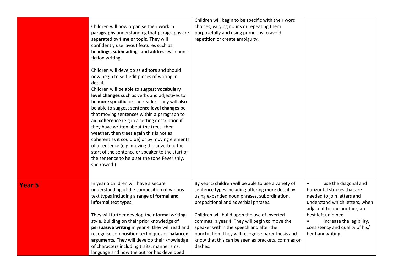|               | Children will now organise their work in<br>paragraphs understanding that paragraphs are<br>separated by time or topic. They will<br>confidently use layout features such as<br>headings, subheadings and addresses in non-<br>fiction writing.<br>Children will develop as editors and should<br>now begin to self-edit pieces of writing in<br>detail.<br>Children will be able to suggest vocabulary<br>level changes such as verbs and adjectives to<br>be more specific for the reader. They will also<br>be able to suggest sentence level changes be<br>that moving sentences within a paragraph to<br>aid coherence (e.g in a setting description if<br>they have written about the trees, then<br>weather, then trees again this is not as<br>coherent as it could be) or by moving elements<br>of a sentence (e.g. moving the adverb to the<br>start of the sentence or speaker to the start of<br>the sentence to help set the tone Feverishly,<br>she rowed.) | Children will begin to be specific with their word<br>choices, varying nouns or repeating them<br>purposefully and using pronouns to avoid<br>repetition or create ambiguity.                                                                  |                                                                                                                                                                                        |
|---------------|---------------------------------------------------------------------------------------------------------------------------------------------------------------------------------------------------------------------------------------------------------------------------------------------------------------------------------------------------------------------------------------------------------------------------------------------------------------------------------------------------------------------------------------------------------------------------------------------------------------------------------------------------------------------------------------------------------------------------------------------------------------------------------------------------------------------------------------------------------------------------------------------------------------------------------------------------------------------------|------------------------------------------------------------------------------------------------------------------------------------------------------------------------------------------------------------------------------------------------|----------------------------------------------------------------------------------------------------------------------------------------------------------------------------------------|
| <b>Year 5</b> | In year 5 children will have a secure<br>understanding of the composition of various<br>text types including a range of formal and<br>informal text types.<br>They will further develop their formal writing                                                                                                                                                                                                                                                                                                                                                                                                                                                                                                                                                                                                                                                                                                                                                              | By year 5 children will be able to use a variety of<br>sentence types including offering more detail by<br>using expanded noun phrases, subordination,<br>prepositional and adverbial phrases.<br>Children will build upon the use of inverted | use the diagonal and<br>$\bullet$<br>horizontal strokes that are<br>needed to join letters and<br>understand which letters, when<br>adjacent to one another, are<br>best left unjoined |
|               | style. Building on their prior knowledge of<br>persuasive writing in year 4, they will read and<br>recognise composition techniques of balanced<br>arguments. They will develop their knowledge<br>of characters including traits, mannerisms,<br>language and how the author has developed                                                                                                                                                                                                                                                                                                                                                                                                                                                                                                                                                                                                                                                                               | commas in year 4. They will begin to move the<br>speaker within the speech and alter the<br>punctuation. They will recognise parenthesis and<br>know that this can be seen as brackets, commas or<br>dashes.                                   | increase the legibility,<br>$\bullet$<br>consistency and quality of his/<br>her handwriting                                                                                            |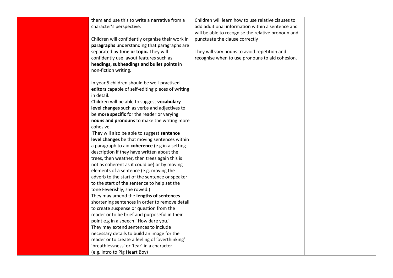| them and use this to write a narrative from a     | Children will learn how to use relative clauses to |  |
|---------------------------------------------------|----------------------------------------------------|--|
| character's perspective.                          | add additional information within a sentence and   |  |
|                                                   | will be able to recognise the relative pronoun and |  |
| Children will confidently organise their work in  | punctuate the clause correctly                     |  |
| paragraphs understanding that paragraphs are      |                                                    |  |
| separated by time or topic. They will             | They will vary nouns to avoid repetition and       |  |
| confidently use layout features such as           | recognise when to use pronouns to aid cohesion.    |  |
| headings, subheadings and bullet points in        |                                                    |  |
| non-fiction writing.                              |                                                    |  |
|                                                   |                                                    |  |
| In year 5 children should be well-practised       |                                                    |  |
| editors capable of self-editing pieces of writing |                                                    |  |
| in detail.                                        |                                                    |  |
| Children will be able to suggest vocabulary       |                                                    |  |
| level changes such as verbs and adjectives to     |                                                    |  |
| be more specific for the reader or varying        |                                                    |  |
| nouns and pronouns to make the writing more       |                                                    |  |
| cohesive.                                         |                                                    |  |
| They will also be able to suggest sentence        |                                                    |  |
| level changes be that moving sentences within     |                                                    |  |
| a paragraph to aid coherence (e.g in a setting    |                                                    |  |
| description if they have written about the        |                                                    |  |
| trees, then weather, then trees again this is     |                                                    |  |
| not as coherent as it could be) or by moving      |                                                    |  |
| elements of a sentence (e.g. moving the           |                                                    |  |
| adverb to the start of the sentence or speaker    |                                                    |  |
| to the start of the sentence to help set the      |                                                    |  |
| tone Feverishly, she rowed.)                      |                                                    |  |
| They may amend the lengths of sentences           |                                                    |  |
| shortening sentences in order to remove detail    |                                                    |  |
| to create suspense or question from the           |                                                    |  |
| reader or to be brief and purposeful in their     |                                                    |  |
| point e.g in a speech 'How dare you.'             |                                                    |  |
| They may extend sentences to include              |                                                    |  |
| necessary details to build an image for the       |                                                    |  |
| reader or to create a feeling of 'overthinking'   |                                                    |  |
| 'breathlessness' or 'fear' in a character.        |                                                    |  |
| (e.g. intro to Pig Heart Boy)                     |                                                    |  |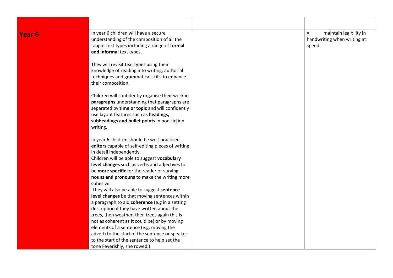| Year <sub>6</sub> | In year 6 children will have a secure<br>understanding of the composition of all the<br>taught text types including a range of formal<br>and informal text types.                                                                                                                                                                                                                                                                         | maintain legibility in<br>$\bullet$<br>handwriting when writing at<br>speed |
|-------------------|-------------------------------------------------------------------------------------------------------------------------------------------------------------------------------------------------------------------------------------------------------------------------------------------------------------------------------------------------------------------------------------------------------------------------------------------|-----------------------------------------------------------------------------|
|                   | They will revisit text types using their<br>knowledge of reading into writing, authorial<br>techniques and grammatical skills to enhance<br>their composition.                                                                                                                                                                                                                                                                            |                                                                             |
|                   | Children will confidently organise their work in<br>paragraphs understanding that paragraphs are<br>separated by time or topic and will confidently<br>use layout features such as headings,<br>subheadings and bullet points in non-fiction<br>writing.                                                                                                                                                                                  |                                                                             |
|                   | In year 6 children should be well-practised<br>editors capable of self-editing pieces of writing<br>in detail independently.<br>Children will be able to suggest vocabulary<br>level changes such as verbs and adjectives to<br>be more specific for the reader or varying<br>nouns and pronouns to make the writing more<br>cohesive.                                                                                                    |                                                                             |
|                   | They will also be able to suggest sentence<br>level changes be that moving sentences within<br>a paragraph to aid coherence (e.g in a setting<br>description if they have written about the<br>trees, then weather, then trees again this is<br>not as coherent as it could be) or by moving<br>elements of a sentence (e.g. moving the<br>adverb to the start of the sentence or speaker<br>to the start of the sentence to help set the |                                                                             |
|                   | tone Feverishly, she rowed.)                                                                                                                                                                                                                                                                                                                                                                                                              |                                                                             |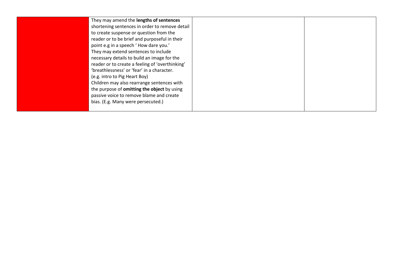They may amend the **lengths of sentences** shortening sentences in order to remove detail to create suspense or question from the reader or to be brief and purposeful in their point e.g in a speech ' How dare you.' They may extend sentences to include necessary details to build an image for the reader or to create a feeling of 'overthinking' 'breathlessness' or 'fear' in a character. (e.g. intro to Pig Heart Boy) Children may also rearrange sentences with the purpose of **omitting the object** by using passive voice to remove blame and create bias. (E.g. Many were persecuted.)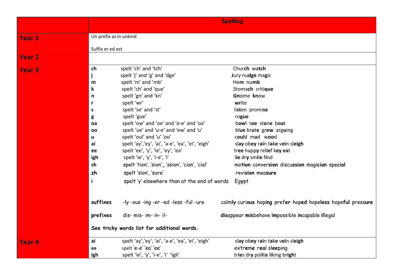|               | <b>Spelling</b>        |                                                  |                                                              |
|---------------|------------------------|--------------------------------------------------|--------------------------------------------------------------|
| <b>Year 1</b> | Un prefix as in unkind |                                                  |                                                              |
|               | Suffix er ed est       |                                                  |                                                              |
|               |                        |                                                  |                                                              |
| <b>Year 2</b> |                        |                                                  |                                                              |
| <b>Year 3</b> | ch                     | spelt 'ch' and 'tch'                             | Church watch                                                 |
|               | j                      | spelt 'j' and 'g' and 'dge'                      | Jury nudge magic                                             |
|               | m                      | spelt 'm' and 'mb'                               | Hem numb                                                     |
|               | $\mathbf k$            | spelt 'ch' and 'que'                             | Stomach critique                                             |
|               | $\mathsf{n}$           | spelt 'gn' and 'kn'                              | Gnome know                                                   |
|               | r.                     | spelt 'wr'                                       | write                                                        |
|               | S                      | spelt 'se' and 'st'                              | listen promise                                               |
|               | g                      | spelt 'gue'                                      | rogue                                                        |
|               | oa                     | spelt 'ow' and 'oe' and 'o-e' and 'oa'           | bowl toe stone boat                                          |
|               | <b>OO</b>              | spelt 'ue' and 'u-e' and 'ew' and 'u'            | blue brute grew arguing                                      |
|               | u                      | spelt 'oul' and 'u' 'oo'                         | could mud wood                                               |
|               | ai                     | spelt 'ay','ey', 'ai', 'a-e', 'ea', 'ei', 'eigh' | slay obey rain take vein sleigh                              |
|               | ee                     | spelt 'ee', 'y', 'ie', 'ey', 'ea'                | tree happy relief key eat                                    |
|               | igh                    | spelt 'ie', 'y', 'i-e', 'i'                      | lie dry smile find                                           |
|               | sh                     | spelt 'tion', 'sion', 'ssion', 'cian', 'cial'    | motion conversion discussion magician special                |
|               | zh                     | spelt 'sion', 'sure'                             | revision measure                                             |
|               | $\mathbf{i}$           | spelt 'y' elsewhere than at the end of words     | Egypt                                                        |
|               | suffixes               | -ly -ous -ing -er -ed -less -ful -ure            | calmly curious hoping prefer hoped hopeless hopeful pressure |
|               | prefixes               | dis- mis- im- in- il-                            | disappear misbehave impossible incapable illegal             |
|               |                        | See tricky words list for additional words.      |                                                              |
| Year 4        | ai                     | spelt 'ay','ey', 'ai', 'a-e', 'ea', 'ei', 'eigh' | slay obey rain take vein sleigh                              |
|               | ee                     | spelt 'e-e' 'ea' 'ee'                            | extreme real sleeping                                        |
|               | igh                    | spelt 'ie', 'y', 'i-e', 'i' 'igh'                | tries dry polite liking bright                               |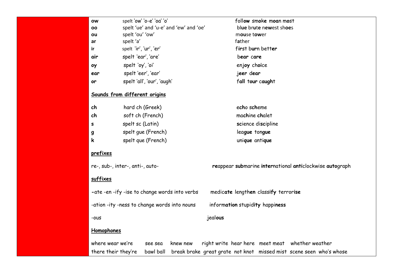| ow         | spelt 'ow' 'o-e' 'oa' 'o'                     | follow smoke moan most                                              |
|------------|-----------------------------------------------|---------------------------------------------------------------------|
| 00         | spelt 'ue' and 'u-e' and 'ew' and 'oe'        | blue brute newest shoes                                             |
| ou         | spelt 'ou' 'ow'                               | mouse tower                                                         |
| ar         | spelt 'a'                                     | father                                                              |
| ir.        | spelt 'ir', 'ur', 'er'                        | first burn better                                                   |
| air        | spelt 'ear', 'are'                            | bear care                                                           |
| ѹ          | spelt 'oy', 'oi'                              | enjoy choice                                                        |
| ear        | spelt 'eer', 'ear'                            | jeer dear                                                           |
| or         | spelt 'all', 'our', 'augh'                    | fall tour caught                                                    |
|            | Sounds from different origins                 |                                                                     |
| ch         | hard ch (Greek)                               | echo scheme                                                         |
| ch         | soft ch (French)                              | machine chalet                                                      |
| s          | spelt sc (Latin)                              | science discipline                                                  |
| g          | spelt que (French)                            | league tongue                                                       |
| k          | spelt que (French)                            | unique antique                                                      |
| prefixes   |                                               |                                                                     |
|            | re-, sub-, inter-, anti-, auto-               | reappear submarine international anticlockwise autograph            |
| suffixes   |                                               |                                                                     |
|            | -ate -en -ify -ise to change words into verbs | medicate lengthen classify terrorise                                |
|            | -ation -ity -ness to change words into nouns  | information stupidity happiness                                     |
| $-0US$     |                                               | jealous                                                             |
| Homophones |                                               |                                                                     |
|            | where wear we're<br>see sea<br>knew new       | right write hear here meet meat whether weather                     |
|            | there their they're<br>bawl ball              | break brake great grate not knot missed mist scene seen who's whose |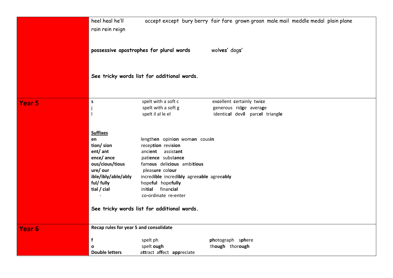|                   | heel heal he'll<br>rain rein reign                                                                                                              | possessive apostrophes for plural words                                                                                                                                                                                                                                                                       | accept except bury berry fair fare grown groan male mail meddle medal plain plane<br>wolves' dogs' |  |
|-------------------|-------------------------------------------------------------------------------------------------------------------------------------------------|---------------------------------------------------------------------------------------------------------------------------------------------------------------------------------------------------------------------------------------------------------------------------------------------------------------|----------------------------------------------------------------------------------------------------|--|
|                   |                                                                                                                                                 | See tricky words list for additional words.                                                                                                                                                                                                                                                                   |                                                                                                    |  |
| Year <sub>5</sub> | $\sf s$                                                                                                                                         | spelt with a soft c<br>spelt with a soft g<br>spelt il al le el                                                                                                                                                                                                                                               | excellent certainly twice<br>generous ridge average<br>identical devil parcel triangle             |  |
|                   | <b>Suffixes</b><br>en<br>tion/ sion<br>ent/ ant<br>ence/ance<br>ous/cious/tious<br>ure/ our<br>ible/ibly/able/ably<br>ful/ fully<br>tial / cial | lengthen opinion woman cousin<br>reception revision<br>ancient assistant<br>patience substance<br>famous delicious ambitious<br>pleasure colour<br>incredible incredibly agreeable agreeably<br>hopeful hopefully<br>initial financial<br>co-ordinate re-enter<br>See tricky words list for additional words. |                                                                                                    |  |
| Year <sub>6</sub> | Recap rules for year 5 and consolidate                                                                                                          |                                                                                                                                                                                                                                                                                                               |                                                                                                    |  |
|                   | f<br>$\mathbf o$<br><b>Double letters</b>                                                                                                       | spelt ph<br>spelt ough<br>attract affect appreciate                                                                                                                                                                                                                                                           | photograph sphere<br>though thorough                                                               |  |